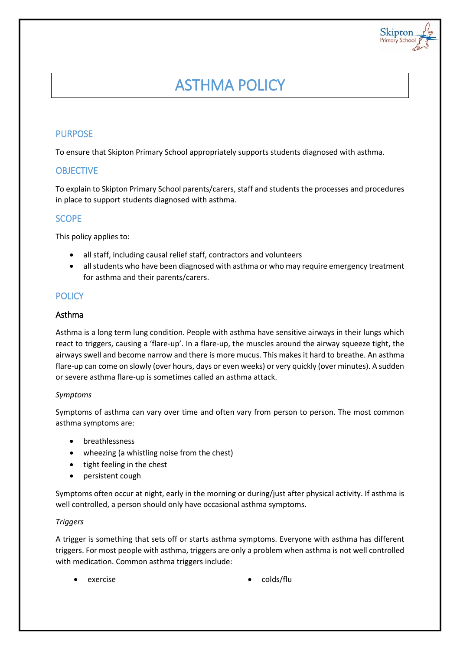# ASTHMA POLICY

Skipton

## PURPOSE

To ensure that Skipton Primary School appropriately supports students diagnosed with asthma.

## **OBJECTIVE**

To explain to Skipton Primary School parents/carers, staff and students the processes and procedures in place to support students diagnosed with asthma.

# **SCOPE**

This policy applies to:

- all staff, including causal relief staff, contractors and volunteers
- all students who have been diagnosed with asthma or who may require emergency treatment for asthma and their parents/carers.

# **POLICY**

## Asthma

Asthma is a long term lung condition. People with asthma have sensitive airways in their lungs which react to triggers, causing a 'flare-up'. In a flare-up, the muscles around the airway squeeze tight, the airways swell and become narrow and there is more mucus. This makes it hard to breathe. An asthma flare-up can come on slowly (over hours, days or even weeks) or very quickly (over minutes). A sudden or severe asthma flare-up is sometimes called an asthma attack.

## *Symptoms*

Symptoms of asthma can vary over time and often vary from person to person. The most common asthma symptoms are:

- breathlessness
- wheezing (a whistling noise from the chest)
- tight feeling in the chest
- persistent cough

Symptoms often occur at night, early in the morning or during/just after physical activity. If asthma is well controlled, a person should only have occasional asthma symptoms.

## *Triggers*

A trigger is something that sets off or starts asthma symptoms. Everyone with asthma has different triggers. For most people with asthma, triggers are only a problem when asthma is not well controlled with medication. Common asthma triggers include:

- 
- exercise **colds/flu**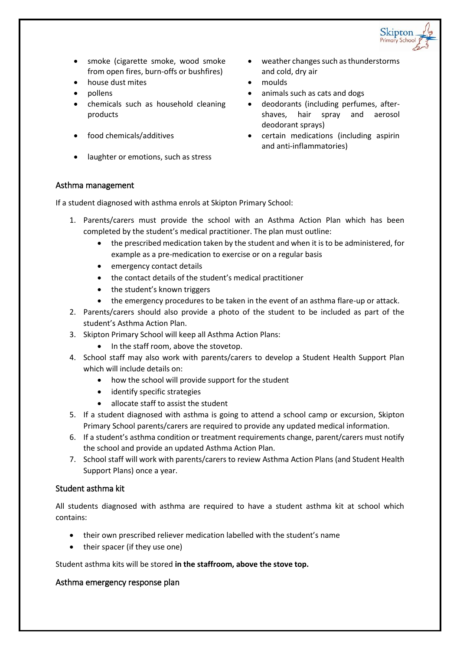

- smoke (cigarette smoke, wood smoke from open fires, burn-offs or bushfires)
- house dust mites **moulds**
- 
- chemicals such as household cleaning products
- 
- laughter or emotions, such as stress
- weather changes such as thunderstorms and cold, dry air
- 
- pollens **by animals** such as cats and dogs
	- deodorants (including perfumes, aftershaves, hair spray and aerosol deodorant sprays)
- food chemicals/additives **channels** certain medications (including aspirin and anti-inflammatories)

#### Asthma management

If a student diagnosed with asthma enrols at Skipton Primary School:

- 1. Parents/carers must provide the school with an Asthma Action Plan which has been completed by the student's medical practitioner. The plan must outline:
	- the prescribed medication taken by the student and when it is to be administered, for example as a pre-medication to exercise or on a regular basis
	- emergency contact details
	- the contact details of the student's medical practitioner
	- the student's known triggers
	- the emergency procedures to be taken in the event of an asthma flare-up or attack.
- 2. Parents/carers should also provide a photo of the student to be included as part of the student's Asthma Action Plan.
- 3. Skipton Primary School will keep all Asthma Action Plans:
	- In the staff room, above the stovetop.
- 4. School staff may also work with parents/carers to develop a Student Health Support Plan which will include details on:
	- how the school will provide support for the student
	- identify specific strategies
	- allocate staff to assist the student
- 5. If a student diagnosed with asthma is going to attend a school camp or excursion, Skipton Primary School parents/carers are required to provide any updated medical information.
- 6. If a student's asthma condition or treatment requirements change, parent/carers must notify the school and provide an updated Asthma Action Plan.
- 7. School staff will work with parents/carers to review Asthma Action Plans (and Student Health Support Plans) once a year.

## Student asthma kit

All students diagnosed with asthma are required to have a student asthma kit at school which contains:

- their own prescribed reliever medication labelled with the student's name
- their spacer (if they use one)

Student asthma kits will be stored **in the staffroom, above the stove top.**

#### Asthma emergency response plan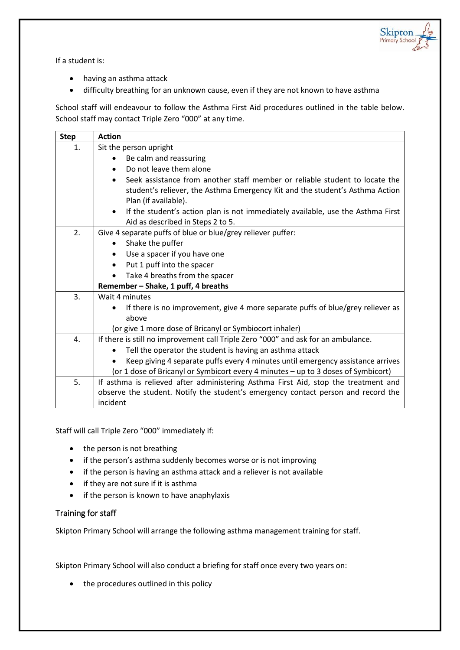

If a student is:

- having an asthma attack
- difficulty breathing for an unknown cause, even if they are not known to have asthma

School staff will endeavour to follow the Asthma First Aid procedures outlined in the table below. School staff may contact Triple Zero "000" at any time.

| <b>Step</b> | <b>Action</b>                                                                                                                                                                       |
|-------------|-------------------------------------------------------------------------------------------------------------------------------------------------------------------------------------|
| 1.          | Sit the person upright                                                                                                                                                              |
|             | Be calm and reassuring                                                                                                                                                              |
|             | Do not leave them alone<br>$\bullet$                                                                                                                                                |
|             | Seek assistance from another staff member or reliable student to locate the<br>student's reliever, the Asthma Emergency Kit and the student's Asthma Action<br>Plan (if available). |
|             | If the student's action plan is not immediately available, use the Asthma First<br>$\bullet$<br>Aid as described in Steps 2 to 5.                                                   |
| 2.          | Give 4 separate puffs of blue or blue/grey reliever puffer:                                                                                                                         |
|             | Shake the puffer<br>$\bullet$                                                                                                                                                       |
|             | Use a spacer if you have one<br>$\bullet$                                                                                                                                           |
|             | Put 1 puff into the spacer<br>$\bullet$                                                                                                                                             |
|             | Take 4 breaths from the spacer<br>$\bullet$                                                                                                                                         |
|             | Remember - Shake, 1 puff, 4 breaths                                                                                                                                                 |
| 3.          | Wait 4 minutes                                                                                                                                                                      |
|             | If there is no improvement, give 4 more separate puffs of blue/grey reliever as                                                                                                     |
|             | above                                                                                                                                                                               |
|             | (or give 1 more dose of Bricanyl or Symbiocort inhaler)                                                                                                                             |
| 4.          | If there is still no improvement call Triple Zero "000" and ask for an ambulance.                                                                                                   |
|             | Tell the operator the student is having an asthma attack<br>$\bullet$                                                                                                               |
|             | Keep giving 4 separate puffs every 4 minutes until emergency assistance arrives                                                                                                     |
|             | (or 1 dose of Bricanyl or Symbicort every 4 minutes - up to 3 doses of Symbicort)                                                                                                   |
| 5.          | If asthma is relieved after administering Asthma First Aid, stop the treatment and                                                                                                  |
|             | observe the student. Notify the student's emergency contact person and record the                                                                                                   |
|             | incident                                                                                                                                                                            |

Staff will call Triple Zero "000" immediately if:

- the person is not breathing
- if the person's asthma suddenly becomes worse or is not improving
- if the person is having an asthma attack and a reliever is not available
- if they are not sure if it is asthma
- if the person is known to have anaphylaxis

## Training for staff

Skipton Primary School will arrange the following asthma management training for staff.

Skipton Primary School will also conduct a briefing for staff once every two years on:

• the procedures outlined in this policy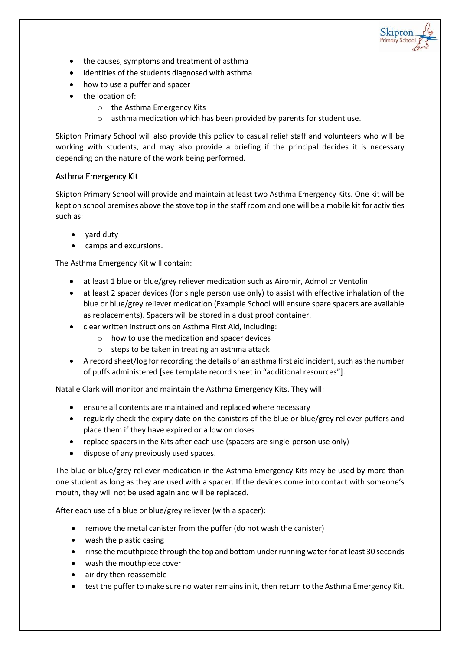

- the causes, symptoms and treatment of asthma
- identities of the students diagnosed with asthma
- how to use a puffer and spacer
- the location of:
	- o the Asthma Emergency Kits
	- o asthma medication which has been provided by parents for student use.

Skipton Primary School will also provide this policy to casual relief staff and volunteers who will be working with students, and may also provide a briefing if the principal decides it is necessary depending on the nature of the work being performed.

## Asthma Emergency Kit

Skipton Primary School will provide and maintain at least two Asthma Emergency Kits. One kit will be kept on school premises above the stove top in the staff room and one will be a mobile kit for activities such as:

- yard duty
- camps and excursions.

The Asthma Emergency Kit will contain:

- at least 1 blue or blue/grey reliever medication such as Airomir, Admol or Ventolin
- at least 2 spacer devices (for single person use only) to assist with effective inhalation of the blue or blue/grey reliever medication (Example School will ensure spare spacers are available as replacements). Spacers will be stored in a dust proof container.
- clear written instructions on Asthma First Aid, including:
	- o how to use the medication and spacer devices
	- o steps to be taken in treating an asthma attack
- A record sheet/log for recording the details of an asthma first aid incident, such as the number of puffs administered [see template record sheet in "additional resources"].

Natalie Clark will monitor and maintain the Asthma Emergency Kits. They will:

- ensure all contents are maintained and replaced where necessary
- regularly check the expiry date on the canisters of the blue or blue/grey reliever puffers and place them if they have expired or a low on doses
- replace spacers in the Kits after each use (spacers are single-person use only)
- dispose of any previously used spaces.

The blue or blue/grey reliever medication in the Asthma Emergency Kits may be used by more than one student as long as they are used with a spacer. If the devices come into contact with someone's mouth, they will not be used again and will be replaced.

After each use of a blue or blue/grey reliever (with a spacer):

- remove the metal canister from the puffer (do not wash the canister)
- wash the plastic casing
- rinse the mouthpiece through the top and bottom under running water for at least 30 seconds
- wash the mouthpiece cover
- air dry then reassemble
- test the puffer to make sure no water remains in it, then return to the Asthma Emergency Kit.